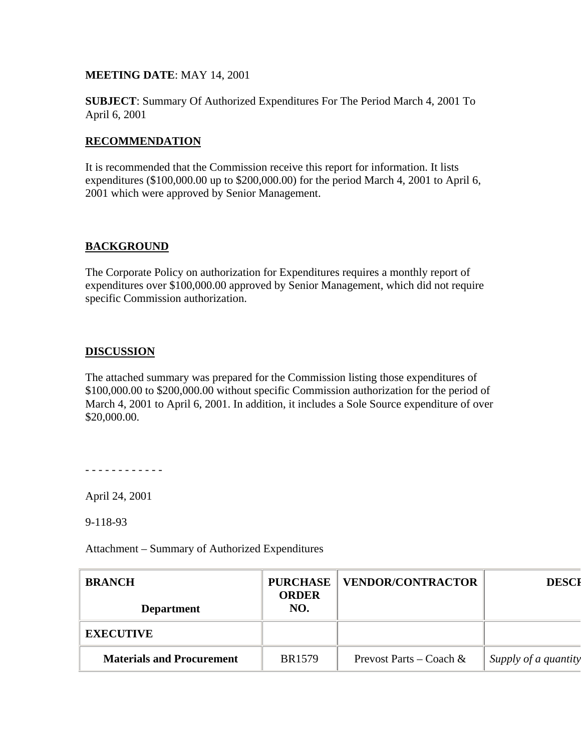## **MEETING DATE**: MAY 14, 2001

**SUBJECT**: Summary Of Authorized Expenditures For The Period March 4, 2001 To April 6, 2001

## **RECOMMENDATION**

It is recommended that the Commission receive this report for information. It lists expenditures (\$100,000.00 up to \$200,000.00) for the period March 4, 2001 to April 6, 2001 which were approved by Senior Management.

## **BACKGROUND**

The Corporate Policy on authorization for Expenditures requires a monthly report of expenditures over \$100,000.00 approved by Senior Management, which did not require specific Commission authorization.

## **DISCUSSION**

The attached summary was prepared for the Commission listing those expenditures of \$100,000.00 to \$200,000.00 without specific Commission authorization for the period of March 4, 2001 to April 6, 2001. In addition, it includes a Sole Source expenditure of over \$20,000.00.

- - - - - - - - - - - -

April 24, 2001

9-118-93

Attachment – Summary of Authorized Expenditures

| <b>BRANCH</b><br><b>Department</b> | <b>PURCHASE</b><br><b>ORDER</b><br>NO. | <b>VENDOR/CONTRACTOR</b>   | <b>DESCI</b>         |
|------------------------------------|----------------------------------------|----------------------------|----------------------|
| <b>EXECUTIVE</b>                   |                                        |                            |                      |
| <b>Materials and Procurement</b>   | <b>BR1579</b>                          | Prevost Parts – Coach $\&$ | Supply of a quantity |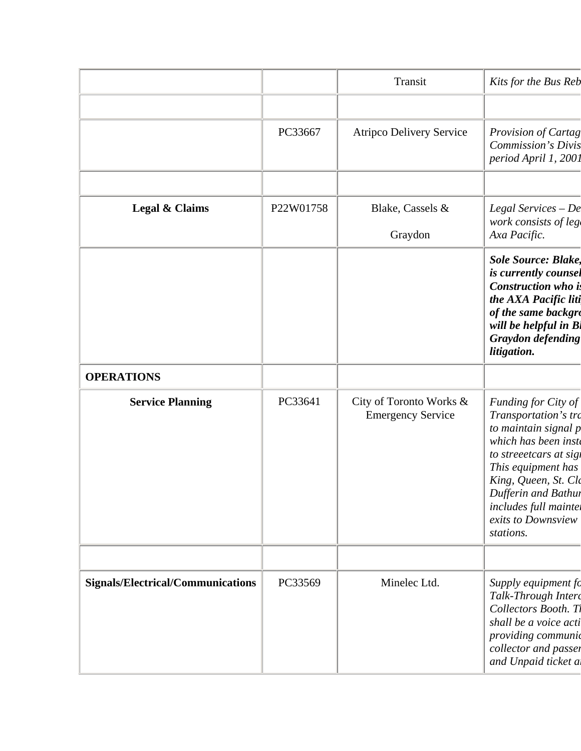|                                          |           | Transit                                             | Kits for the Bus Reb                                                                                                                                                                                                                                   |
|------------------------------------------|-----------|-----------------------------------------------------|--------------------------------------------------------------------------------------------------------------------------------------------------------------------------------------------------------------------------------------------------------|
|                                          | PC33667   | <b>Atripco Delivery Service</b>                     | <b>Provision of Cartag</b><br><b>Commission's Divis</b><br>period April 1, 2001                                                                                                                                                                        |
| Legal & Claims                           | P22W01758 | Blake, Cassels &<br>Graydon                         | Legal Services $-De$<br>work consists of leg<br>Axa Pacific.                                                                                                                                                                                           |
|                                          |           |                                                     | <b>Sole Source: Blake,</b><br>is currently counsel<br>Construction who is<br>the AXA Pacific liti<br>of the same backgro<br>will be helpful in Bl<br><b>Graydon defending</b><br>litigation.                                                           |
| <b>OPERATIONS</b>                        |           |                                                     |                                                                                                                                                                                                                                                        |
| <b>Service Planning</b>                  | PC33641   | City of Toronto Works &<br><b>Emergency Service</b> | Funding for City of<br>Transportation's tro<br>to maintain signal p<br>which has been inste<br>to streeetcars at sigi<br>This equipment has<br>King, Queen, St. Clo<br>Dufferin and Bathur<br>includes full mainter<br>exits to Downsview<br>stations. |
| <b>Signals/Electrical/Communications</b> | PC33569   | Minelec Ltd.                                        | Supply equipment fo<br>Talk-Through Interc<br>Collectors Booth. Th<br>shall be a voice acti<br>providing communid<br>collector and passer<br>and Unpaid ticket a.                                                                                      |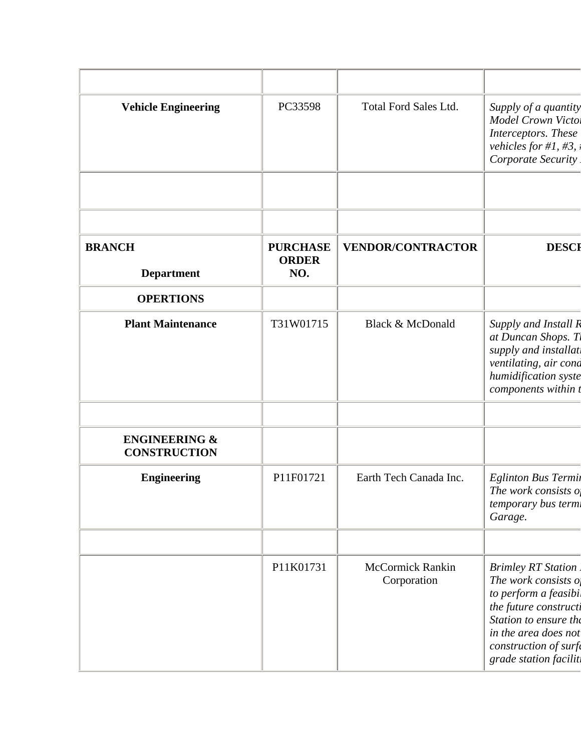| <b>Vehicle Engineering</b>                      | PC33598                                | <b>Total Ford Sales Ltd.</b>           | Supply of a quantity<br>Model Crown Victo.<br>Interceptors. These<br>vehicles for #1, #3,<br>Corporate Security                                                                                         |
|-------------------------------------------------|----------------------------------------|----------------------------------------|---------------------------------------------------------------------------------------------------------------------------------------------------------------------------------------------------------|
|                                                 |                                        |                                        |                                                                                                                                                                                                         |
| <b>BRANCH</b><br><b>Department</b>              | <b>PURCHASE</b><br><b>ORDER</b><br>NO. | <b>VENDOR/CONTRACTOR</b>               | <b>DESCI</b>                                                                                                                                                                                            |
| <b>OPERTIONS</b>                                |                                        |                                        |                                                                                                                                                                                                         |
| <b>Plant Maintenance</b>                        | T31W01715                              | Black & McDonald                       | Supply and Install R<br>at Duncan Shops. T.<br>supply and installat<br>ventilating, air cond<br>humidification syste<br>components within t                                                             |
| <b>ENGINEERING &amp;</b><br><b>CONSTRUCTION</b> |                                        |                                        |                                                                                                                                                                                                         |
| <b>Engineering</b>                              | P11F01721                              | Earth Tech Canada Inc.                 | Eglinton Bus Termin<br>The work consists of<br>temporary bus termi<br>Garage.                                                                                                                           |
|                                                 | P11K01731                              | <b>McCormick Rankin</b><br>Corporation | <b>Brimley RT Station</b><br>The work consists $o$<br>to perform a feasibi.<br>the future constructi<br>Station to ensure the<br>in the area does not<br>construction of surfe<br>grade station facilit |